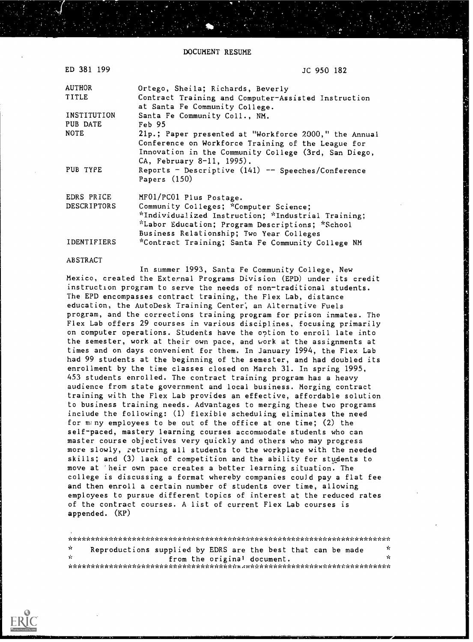DOCUMENT RESUME

| ED 381 199              | JC 950 182                                                                                                                                                                                       |
|-------------------------|--------------------------------------------------------------------------------------------------------------------------------------------------------------------------------------------------|
| <b>AUTHOR</b>           | Ortego, Sheila; Richards, Beverly                                                                                                                                                                |
| TITLE                   | Contract Training and Computer-Assisted Instruction<br>at Santa Fe Community College.                                                                                                            |
| INSTITUTION<br>PUB DATE | Santa Fe Community Coll., NM.<br>Feb 95                                                                                                                                                          |
| <b>NOTE</b>             | 21p.; Paper presented at "Workforce 2000," the Annual<br>Conference on Workforce Training of the League for<br>Innovation in the Community College (3rd, San Diego,<br>CA, February 8-11, 1995). |
| PUB TYPE                | Reports - Descriptive $(141)$ -- Speeches/Conference<br>Papers $(150)$                                                                                                                           |
| EDRS PRICE              | MF01/PC01 Plus Postage.                                                                                                                                                                          |
| DESCRIPTORS             | Community Colleges; *Computer Science;<br>*Individualized Instruction; *Industrial Training;<br>*Labor Education; Program Descriptions; *School<br>Business Relationship; Two Year Colleges      |
| IDENTIFIERS             | *Contract Training; Santa Fe Community College NM                                                                                                                                                |

#### ABSTRACT

In summer 1993, Santa Fe Community College, New Mexico, created the External Programs Division (EPD) under its credit instruction program to serve the needs of non-traditional students. The EPD encompasses contract training, the Flex Lab, distance education, the AutoDesk Training Center; an Alternative Fuels program, and the corrections training program for prison inmates. The Flex Lab offers 29 courses in various disciplines, focusing primarily on computer operations. Students have the option to enroll late into the semester, work at their own pace, and work at the assignments at times and on days convenient for them. In January 1994, the Flex Lab had 99 students at the beginning of the semester, and had doubled its enrollment by the time classes closed on March 31. In spring 1995, 453 students enrolled. The contract training program has a heavy audience from state government and local business. Merging contract training with the Flex Lab provides an effective, affordable solution to business training needs. Advantages to merging these two programs include the following: (1) flexible scheduling eliminates the need for m;ny employees to be out of the office at one time; (2) the self-paced, mastery learning courses accommodate students who can master course objectives very quickly and others who may progress more slowly, returning all students to the workplace with the needed skills; and (3) lack of competition and the ability for students to move at 'heir own pace creates a better learning situation. The college is discussing a format whereby companies could pay a flat fee and then enroll a certain number of students over time, allowing employees to pursue different topics of interest at the reduced rates of the contract courses. A list of current Flex Lab courses is appended. (KP)

\*\*\*\*\*\*\*\*\*\*\*\*\*\*\*\*\*\*\*\*\*\*\*\*\*\*\*\*\*\*\*\*\*\*\*\*\*\*\*\*\*\*\*\*\*\*\*\*\*\*\*\*\*\*\*\*\*\*\*\*\*\*\*\*\*\*\*\*\*\*  $\mathbf{r}$ Reproductions supplied by EDRS are the best that can be made  $\frac{x}{x}$ from the original document. \*\*\*\*\*\*\*\*\*\*\*\*\*\*\*\*\*\*\*\*\*\*\*\*\*\*\*\*\*\*\*\*\*\*\*\*\*1,A\*\*\*\*\*\*\*\*\*\*\*\*\*\*\*\*\*\*\*\*\*\*\*\*\*\*\*\*\*\*\*\*

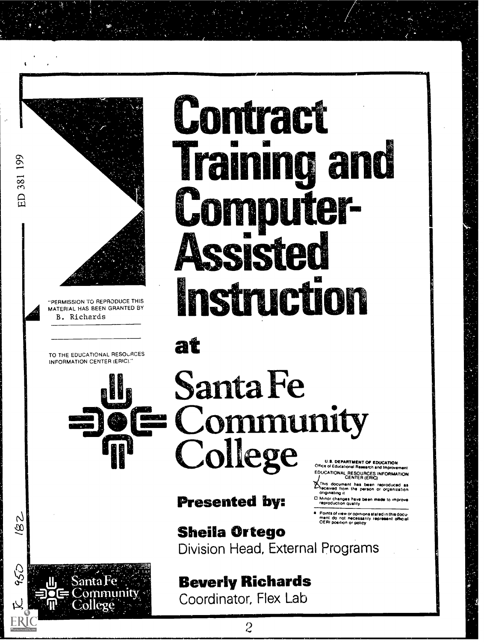

MATERIAL HAS BEEN GRANTED BY B. Richards

TO THE EDUCATIONAL RESOURCES INFORMATION CENTER (ERIC)."

7<br>S



## Contract **Training and** Computer-**Assisted TERMISSION TO REPRODUCE THIS**

at

# Santa Fe **E** Community<br>College

Presented by:

DEPARTMENT OF EDUCATION Office or Educalronal Research and Impnaemsmt EDUCATIONAL RESOURCES INFORMATION CENTER (ERIC)

<sup>2</sup> This document has been reproduced as<br>*Thecaved from the person or organization*<br>originating it

U Minor changes have boen made to improve<br>- reproduction quality

Points of view or opinions stated in this docu-<br>ment: do: not: necessarily <del>represe</del>nt: officiel<br>OERI position or policy

Sheila Ortego Division Head, External Programs

### Beverly Richards

Coordinator, Flex Lab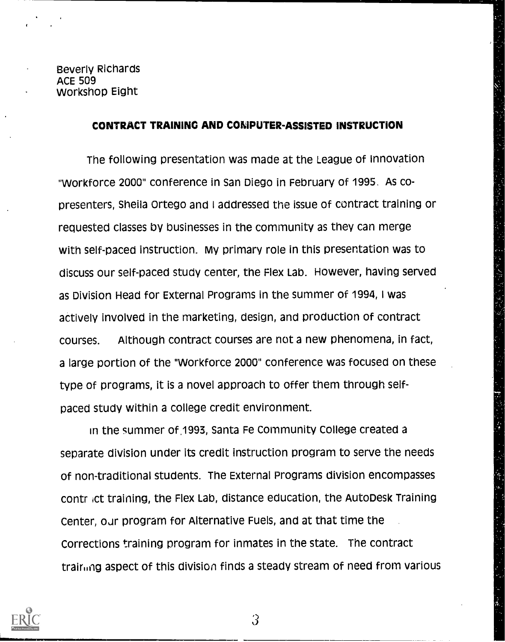### CONTRACT TRAINING AND COMPUTER-ASSISTED INSTRUCTION

The following presentation was made at the League of Innovation "Workforce 2000" conference in San Diego in February of 1995. As copresenters, Sheila Ortego and I addressed the issue of contract training or requested classes by businesses in the community as they can merge with self-paced instruction. My primary role in this presentation was to discuss our self-paced study center, the Flex Lab. However, having served as Division Head for External Programs in the summer of 1994, I was actively involved in the marketing, design, and production of contract courses. Although contract courses are not a new phenomena, in fact, a large portion of the "Workforce 2000" conference was focused on these type of programs, it is a novel approach to offer them through selfpaced study within a college credit environment.

in the summer of .1993, Santa Fe Community College created a separate division under its credit instruction program to serve the needs of non-traditional students. The External Programs division encompasses contr ict training, the Flex Lab, distance education, the AutoDesk Training Center, our program for Alternative Fuels, and at that time the Corrections training program for inmates in the state. The contract training aspect of this division finds a steady stream of need from various

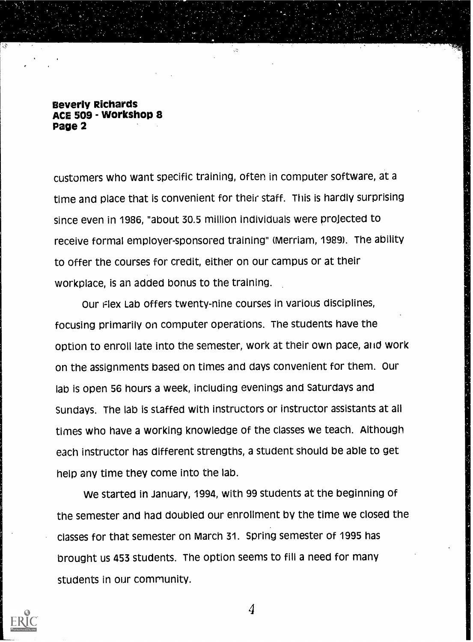customers who want specific training, often in computer software, at a time and place that is convenient for their staff. This is hardly surprising since even in 1986, "about 30.5 million individuals were projected to receive formal employer-sponsored training" (Merriam, 1989). The ability to offer the courses for credit, either on our campus or at their workplace, is an added bonus to the training.

Our Flex Lab offers twenty-nine courses in various disciplines, focusing primarily on computer operations. The students have the option to enroll late into the semester, work at their own pace, aid work on the assignments based on times and days convenient for them. Our lab is open 56 hours a week, including evenings and Saturdays and Sundays. The lab is staffed with instructors or instructor assistants at all times who have a working knowledge of the classes we teach. Although each instructor has different strengths, a student should be able to get help any time they come into the lab.

We started in January, 1994, with 99 students at the beginning of the semester and had doubled our enrollment by the time we closed the classes for that semester on March 31. Spring semester of 1995 has brought us 453 students. The option seems to fill a need for many students in our community.

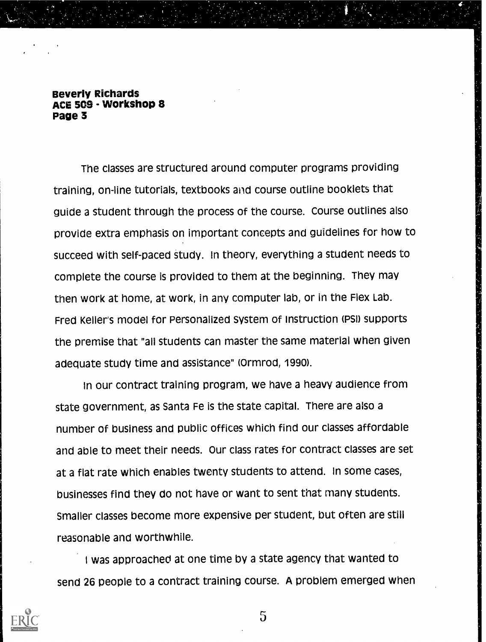The classes are structured around computer programs providing training, on-line tutorials, textbooks and course outline booklets that guide a student through the process of the course. Course outlines also provide extra emphasis on important concepts and guidelines for how to succeed with self-paced study. In theory, everything a student needs to complete the course is provided to them at the beginning. They may then work at home, at work, in any computer lab, or in the Flex Lab. Fred Keller's model for Personalized System of instruction (PSI) supports the premise that "all students can master the same material when given adequate study time and assistance" (Ormrod, 1990).

In our contract training program, we have a heavy audience from state government, as Santa Fe is the state capital. There are also a number of business and public offices which find our classes affordable and able to meet their needs. Our class rates for contract classes are set at a flat rate which enables twenty students to attend. In some cases, businesses find they do not have or want to sent that many students. Smaller classes become more expensive per student, but often are still reasonable and worthwhile.

I was approached at one time by a state agency that wanted to send 26 people to a contract training course. A problem emerged when

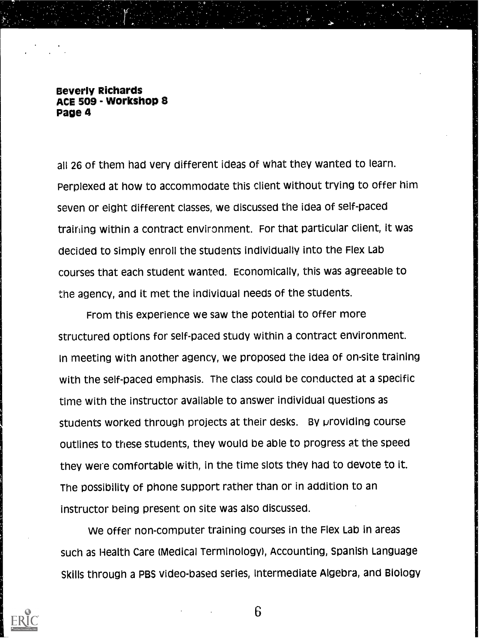all 26 of them had very different ideas of what they wanted to learn. Perplexed at how to accommodate this client without trying to offer him seven or eight different classes, we discussed the idea of self-paced training within a contract environment. For that particular client, it was decided to simply enroll the students individually into the Flex Lab courses that each student wanted. Economically, this was agreeable to the agency, and it met the individual needs of the students.

From this experience we saw the potential to offer more structured options for self-paced study within a contract environment. In meeting with another agency, we proposed the idea of on-site training with the self-paced emphasis. The class could be conducted at a specific time with the instructor available to answer individual questions as students worked through projects at their desks. By providing course outlines to these students, they would be able to progress at the speed they were comfortable with, in the time slots they had to devote to it. The possibility of phone support rather than or in addition to an instructor being present on site was also discussed.

We offer non-computer training courses in the Flex Lab in areas such as Health Care (Medical Terminology), Accounting, Spanish Language Skills through a PBS video-based series, Intermediate Algebra, and Biology

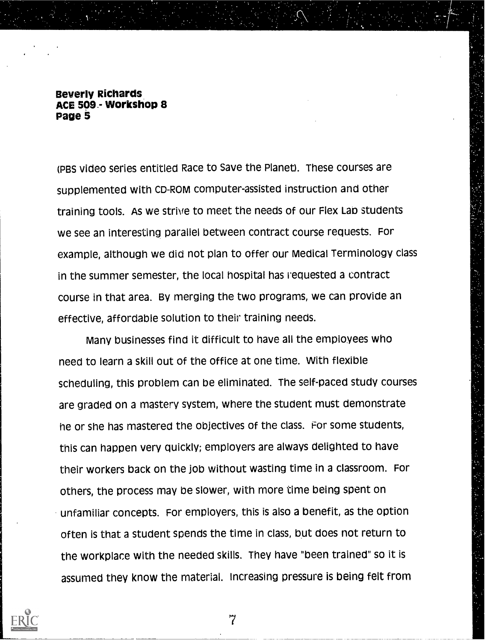(PBS video series entitled Race to Save the Planet). These courses are supplemented with CD-ROM computer-assisted instruction and other training tools. As we strive to meet the needs of our Flex Lan students we see an interesting parallel between contract course requests. For example, although we did not plan to offer our Medical Terminology class in the summer semester, the local hospital has requested a contract course in that area. By merging the two programs, we can provide an effective, affordable solution to their training needs.

 $\sim$ 

Many businesses find it difficult to have all the employees who need to learn a skill out of the office at one time. With flexible scheduling, this problem can be eliminated. The self-paced study courses are graded on a mastery system, where the student must demonstrate he or she has mastered the objectives of the class. For some students, this can happen very quickly; employers are always delighted to have their workers back on the job without wasting time in a classroom. For others, the process may be slower, with more time being spent on unfamiliar concepts. For employers, this is also a benefit, as the option often is that a student spends the time in class, but does not return to the workplace with the needed skills. They have "been trained" so it is assumed they know the material. Increasing pressure is being felt from

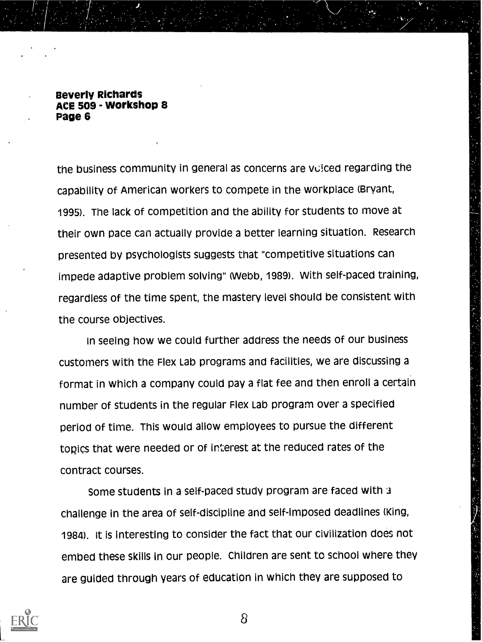the business community in general as concerns are volced regarding the capability of American workers to compete in the workplace (Bryant, 1995). The lack of competition and the ability for students to move at their own pace can actually provide a better learning situation. Research presented by psychologists suggests that "competitive situations can impede adaptive problem solving" (Webb, 1989). With self-paced training, regardless of the time spent, the mastery level should be consistent with the course objectives.

In seeing how we could further address the needs of our business customers with the Flex Lab programs and facilities, we are discussing a format in which a company could pay a flat fee and then enroll a certain number of students in the regular Flex Lab program over a specified period of time. This would allow employees to pursue the different topics that were needed or of interest at the reduced rates of the contract courses.

Some students in a self-paced study program are faced with challenge in the area of self-discipline and self-imposed deadlines (King, 1984). It is interesting to consider the fact that our civilization does not embed these skills in our people. Children are sent to school where they are guided through years of education in which they are supposed to

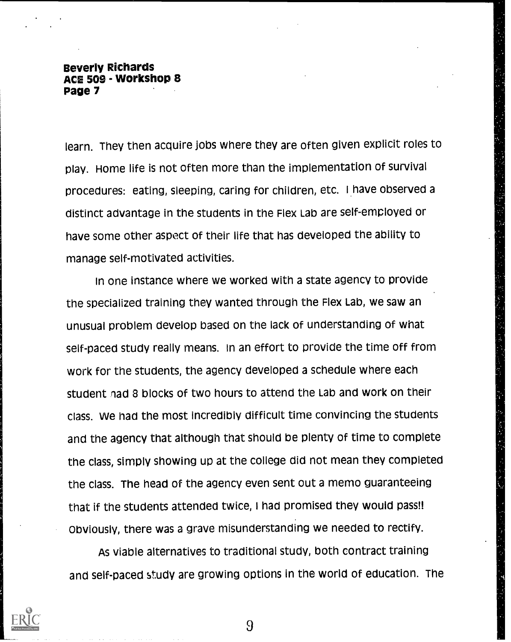learn. They then acquire jobs where they are often given explicit roles to play. Home life is not often more than the implementation of survival procedures: eating, sleeping, caring for children, etc. I have observed a distinct advantage in the students in the Flex Lab are self-employed or have some other aspect of their life that has developed the ability to manage self-motivated activities.

In one instance where we worked with a state agency to provide the specialized training they wanted through the Flex Lab, we saw an unusual problem develop based on the lack of understanding of what self-paced study really means. In an effort to provide the time off from work for the students, the agency developed a schedule where each student nad 8 blocks of two hours to attend the Lab and work on their class. we had the most incredibly difficult time convincing the students and the agency that although that should be plenty of time to complete the class, simply showing up at the college did not mean they completed the class. The head of the agency even sent out a memo guaranteeing that if the students attended twice, I had promised they would pass!! Obviously, there was a grave misunderstanding we needed to rectify.

As viable alternatives to traditional study, both contract training and self-paced study are growing options in the world of education. The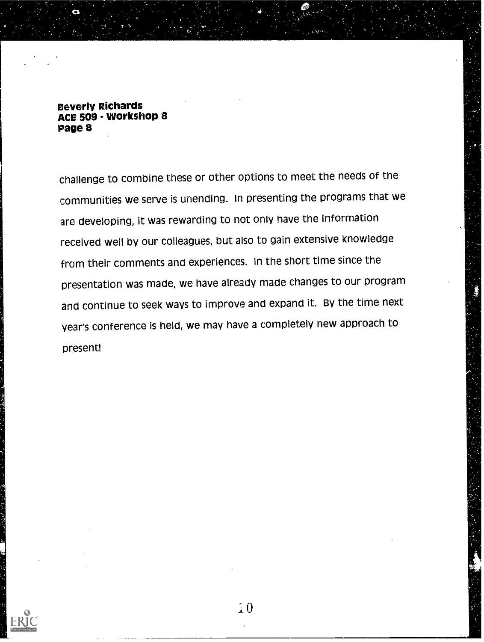challenge to combine these or other options to meet the needs of the communities we serve is unending. In presenting the programs that we are developing, it was rewarding to not only have the information received well by our colleagues, but also to gain extensive knowledge from their comments and experiences. In the short time since the presentation was made, we have already made changes to our program and continue to seek ways to improve and expand it. By the time next year's conference is held, we may have a completely new approach to present!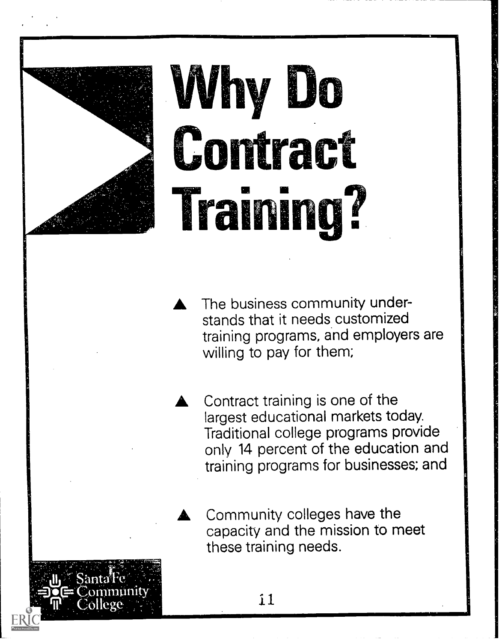

 $\operatorname{Sant}$ art $\operatorname{a\!}$  est.exec

11.

# Why Do Contract **Training?**

The business community understands that it needs customized training programs, and employers are willing to pay for them;

Contract training is one of the largest educational markets today. Traditional college programs provide only 14 percent of the education and training programs for businesses; and

Community colleges have the capacity and the mission to meet these training needs.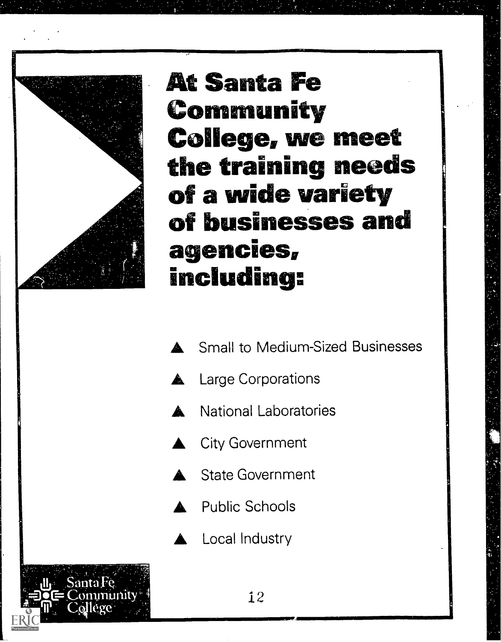

At Santa Fe Community College, we meet the training needs<br>of a wide variety<br>of businesses and agencies, including:

- **Small to Medium-Sized Businesses**
- **Large Corporations**
- **National Laboratories**
- **City Government**
- **State Government**
- Public Schools
- Local Industry

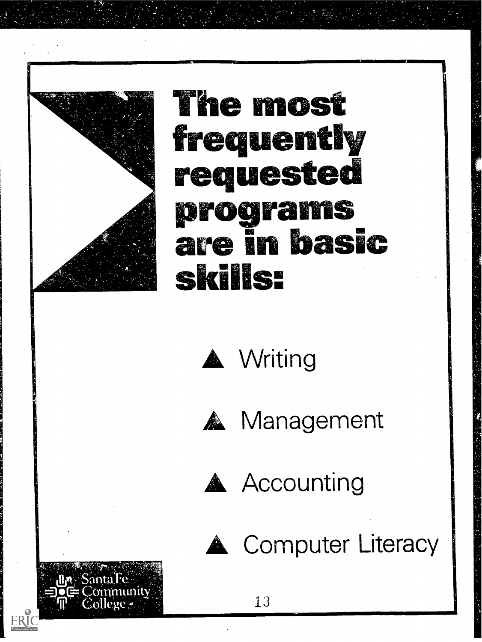

SantaTe **Mission** pmunity

 $\Pi^1$  =  $\mathbf{College}$  and  $\mathbb{R}^n$ 

## The most **frequently** requested **brook zinis** are in basic **skills:**





fw.

**A** Management



**A** Accounting



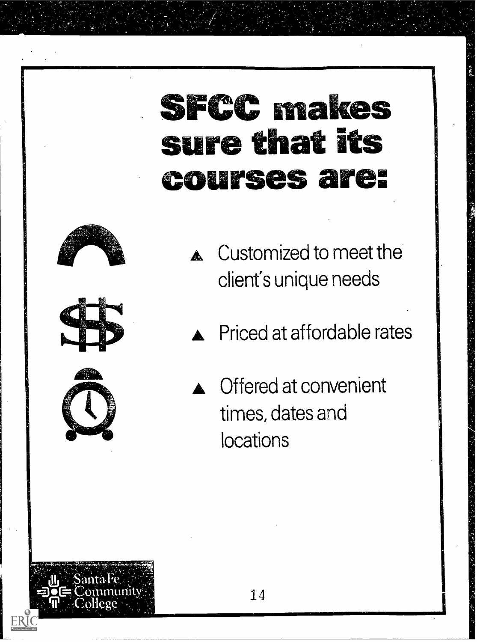## **SFCC makes** sure that its courses are:







mity

- **A** Customized to meet the client's unique needs
- **A** Priced at affordable rates
- **C** Offered at convenient times, dates and locations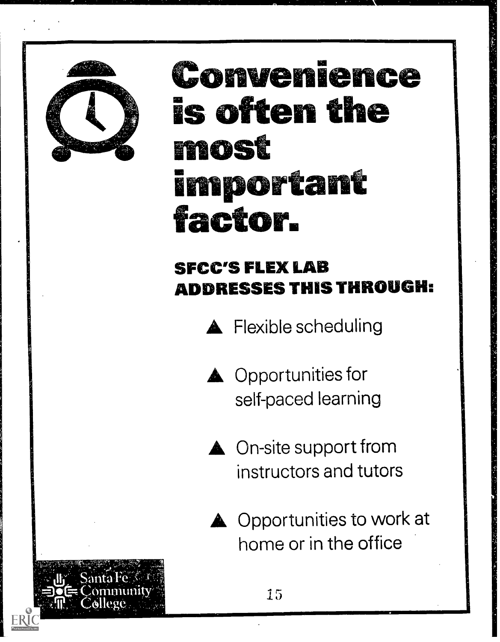

### Convenience is often the most im o Cant factor.

### SFCC'S FLEX LAB ADDRESSES THIS THROUGH:

**A** Flexible scheduling

- **A** Opportunities for self-paced learning
- **A** On-site support from instructors and tutors
- **A** Opportunities to work at home or in the office

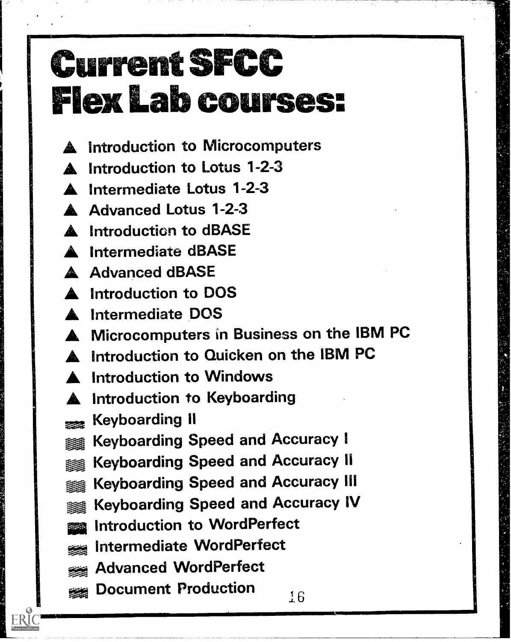## Current SPCC Flex Lab courses:

- **A** Introduction to Microcomputers
- **A** Introduction to Lotus 1-2-3
- **A** Intermediate Lotus 1-2-3
- A Advanced Lotus 1-2-3
- A Introduction to dBASE
- **Intermediate dBASE**
- **A** Advanced dBASE
- $\blacksquare$  Introduction to DOS
- **A** Intermediate DOS
- **A** Microcomputers in Business on the IBM PC
- Introduction to Quicken on the IBM PC
- **A** Introduction to Windows
- **A** Introduction to Keyboarding
- . Keyboarding II
- Keyboarding Speed and Accuracy I 塗
- Keyboarding Speed and Accuracy II
- Keyboarding Speed and Accuracy III ■ 第
- **Keyboarding Speed and Accuracy IV**
- Introduction to WordPerfect
- Intermediate WordPerfect
- Advanced WordPerfect
- **and Document Production**  $16$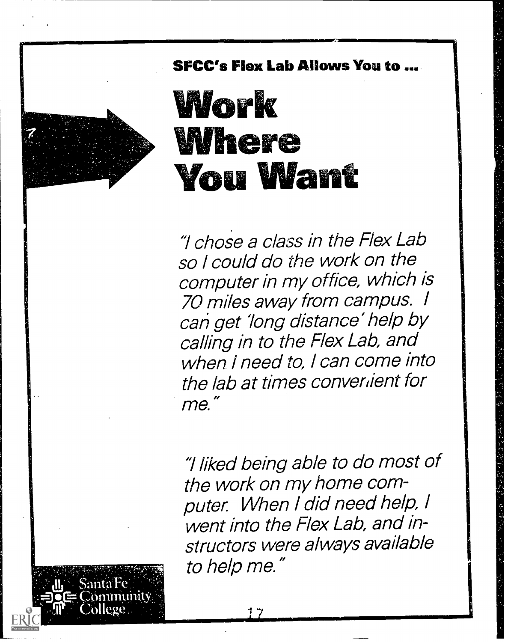

SFCC's Flex Lab Allows You to

## Work Where You Wan

"I chose a class in the Flex Lab so I could do the work on the computer in my office, which is 70 miles away from campus. I can get 'long distance' help by calling in to the Flex Lab, and when I need to, I can come into the lab at times convertient for me."

"Hiked being able to do most of the work on my home computer. When I did need help, I went into the Flex Lab, and instructors were always available to help me."

numity.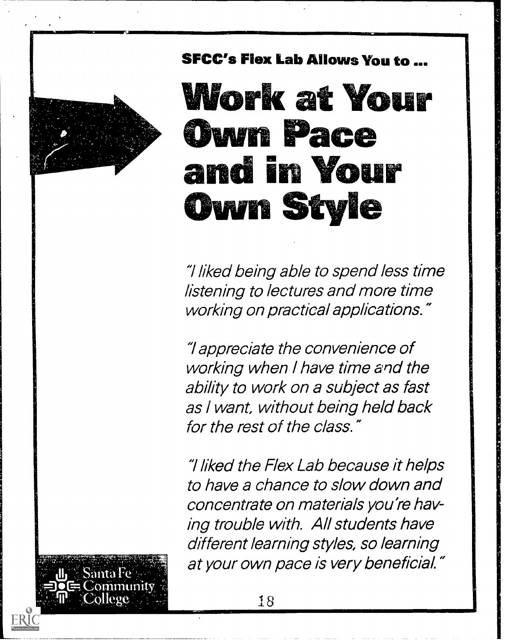



"Hiked being able to spend less time listening to lectures and more time working on practical applications."

"I appreciate the convenience of working when I have time and the ability to work on a subject as fast as / want, without being held back for the rest of the class."

"Hiked the Rex Lab because it helps to have a chance to slow down and concentrate on materials you're having trouble with. All students have different learning styles, so learning at your own pace is very beneficial."

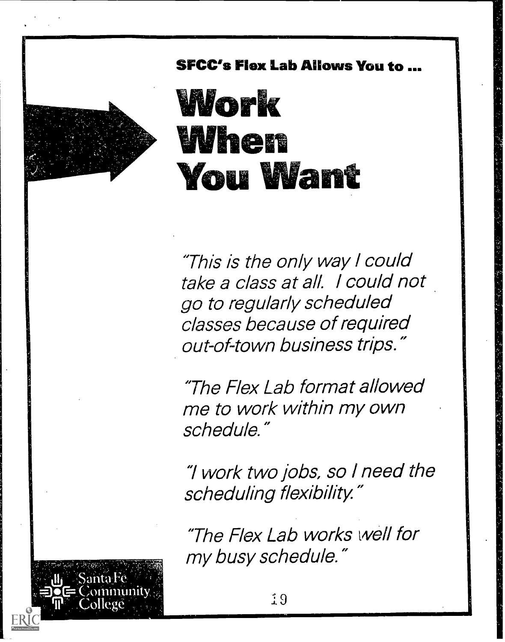

SFCC's Flex Lab Allows You to ...

Work When You Want

"This is the only way 1 could take a class at all. I could not go to regularly scheduled classes because of required out-of-town business trips."

"The Flex Lab format allowed me to work within my own schedule."

"1 work two jobs, so / need the scheduling flexibility."

"The Flex Lab works well for my busy schedule."

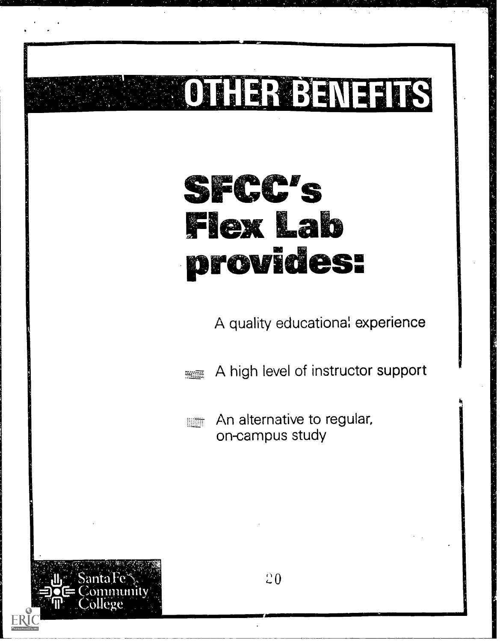## AIMMIMMEMISJIMI **OTHERBEATEDS** SFCC's **Flex Lab** provides: A quality educational experience A high level of instructor support awan An alternative to regular, **Billip** on-campus study `20 $\sim$  flags  $\sim$